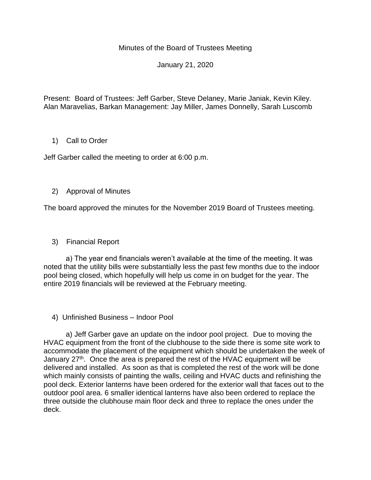## Minutes of the Board of Trustees Meeting

January 21, 2020

Present: Board of Trustees: Jeff Garber, Steve Delaney, Marie Janiak, Kevin Kiley. Alan Maravelias, Barkan Management: Jay Miller, James Donnelly, Sarah Luscomb

## 1) Call to Order

Jeff Garber called the meeting to order at 6:00 p.m.

## 2) Approval of Minutes

The board approved the minutes for the November 2019 Board of Trustees meeting.

3) Financial Report

 a) The year end financials weren't available at the time of the meeting. It was noted that the utility bills were substantially less the past few months due to the indoor pool being closed, which hopefully will help us come in on budget for the year. The entire 2019 financials will be reviewed at the February meeting.

4) Unfinished Business – Indoor Pool

 a) Jeff Garber gave an update on the indoor pool project. Due to moving the HVAC equipment from the front of the clubhouse to the side there is some site work to accommodate the placement of the equipment which should be undertaken the week of January 27<sup>th</sup>. Once the area is prepared the rest of the HVAC equipment will be delivered and installed. As soon as that is completed the rest of the work will be done which mainly consists of painting the walls, ceiling and HVAC ducts and refinishing the pool deck. Exterior lanterns have been ordered for the exterior wall that faces out to the outdoor pool area. 6 smaller identical lanterns have also been ordered to replace the three outside the clubhouse main floor deck and three to replace the ones under the deck.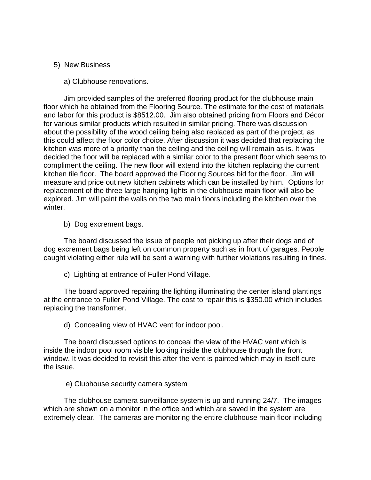## 5) New Business

a) Clubhouse renovations.

 Jim provided samples of the preferred flooring product for the clubhouse main floor which he obtained from the Flooring Source. The estimate for the cost of materials and labor for this product is \$8512.00. Jim also obtained pricing from Floors and Décor for various similar products which resulted in similar pricing. There was discussion about the possibility of the wood ceiling being also replaced as part of the project, as this could affect the floor color choice. After discussion it was decided that replacing the kitchen was more of a priority than the ceiling and the ceiling will remain as is. It was decided the floor will be replaced with a similar color to the present floor which seems to compliment the ceiling. The new floor will extend into the kitchen replacing the current kitchen tile floor. The board approved the Flooring Sources bid for the floor. Jim will measure and price out new kitchen cabinets which can be installed by him. Options for replacement of the three large hanging lights in the clubhouse main floor will also be explored. Jim will paint the walls on the two main floors including the kitchen over the winter.

b) Dog excrement bags.

 The board discussed the issue of people not picking up after their dogs and of dog excrement bags being left on common property such as in front of garages. People caught violating either rule will be sent a warning with further violations resulting in fines.

c) Lighting at entrance of Fuller Pond Village.

 The board approved repairing the lighting illuminating the center island plantings at the entrance to Fuller Pond Village. The cost to repair this is \$350.00 which includes replacing the transformer.

d) Concealing view of HVAC vent for indoor pool.

 The board discussed options to conceal the view of the HVAC vent which is inside the indoor pool room visible looking inside the clubhouse through the front window. It was decided to revisit this after the vent is painted which may in itself cure the issue.

e) Clubhouse security camera system

 The clubhouse camera surveillance system is up and running 24/7. The images which are shown on a monitor in the office and which are saved in the system are extremely clear. The cameras are monitoring the entire clubhouse main floor including